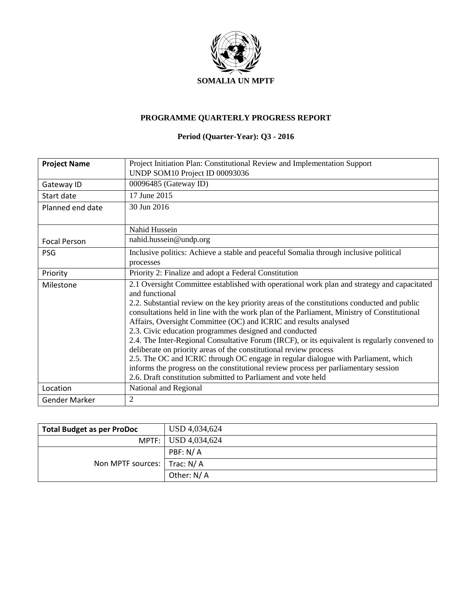

## **PROGRAMME QUARTERLY PROGRESS REPORT**

# **Period (Quarter-Year): Q3 - 2016**

| <b>Project Name</b>  | Project Initiation Plan: Constitutional Review and Implementation Support                                                                                                                                                                                                                                                                                                                                                                                                                                                                                                                                                                                                                                                                                                                                                                                     |
|----------------------|---------------------------------------------------------------------------------------------------------------------------------------------------------------------------------------------------------------------------------------------------------------------------------------------------------------------------------------------------------------------------------------------------------------------------------------------------------------------------------------------------------------------------------------------------------------------------------------------------------------------------------------------------------------------------------------------------------------------------------------------------------------------------------------------------------------------------------------------------------------|
|                      | UNDP SOM10 Project ID 00093036                                                                                                                                                                                                                                                                                                                                                                                                                                                                                                                                                                                                                                                                                                                                                                                                                                |
| Gateway ID           | 00096485 (Gateway ID)                                                                                                                                                                                                                                                                                                                                                                                                                                                                                                                                                                                                                                                                                                                                                                                                                                         |
| Start date           | 17 June 2015                                                                                                                                                                                                                                                                                                                                                                                                                                                                                                                                                                                                                                                                                                                                                                                                                                                  |
| Planned end date     | 30 Jun 2016                                                                                                                                                                                                                                                                                                                                                                                                                                                                                                                                                                                                                                                                                                                                                                                                                                                   |
|                      | Nahid Hussein                                                                                                                                                                                                                                                                                                                                                                                                                                                                                                                                                                                                                                                                                                                                                                                                                                                 |
| <b>Focal Person</b>  | nahid.hussein@undp.org                                                                                                                                                                                                                                                                                                                                                                                                                                                                                                                                                                                                                                                                                                                                                                                                                                        |
| <b>PSG</b>           | Inclusive politics: Achieve a stable and peaceful Somalia through inclusive political<br>processes                                                                                                                                                                                                                                                                                                                                                                                                                                                                                                                                                                                                                                                                                                                                                            |
| Priority             | Priority 2: Finalize and adopt a Federal Constitution                                                                                                                                                                                                                                                                                                                                                                                                                                                                                                                                                                                                                                                                                                                                                                                                         |
| Milestone            | 2.1 Oversight Committee established with operational work plan and strategy and capacitated<br>and functional<br>2.2. Substantial review on the key priority areas of the constitutions conducted and public<br>consultations held in line with the work plan of the Parliament, Ministry of Constitutional<br>Affairs, Oversight Committee (OC) and ICRIC and results analysed<br>2.3. Civic education programmes designed and conducted<br>2.4. The Inter-Regional Consultative Forum (IRCF), or its equivalent is regularly convened to<br>deliberate on priority areas of the constitutional review process<br>2.5. The OC and ICRIC through OC engage in regular dialogue with Parliament, which<br>informs the progress on the constitutional review process per parliamentary session<br>2.6. Draft constitution submitted to Parliament and vote held |
| Location             | National and Regional                                                                                                                                                                                                                                                                                                                                                                                                                                                                                                                                                                                                                                                                                                                                                                                                                                         |
| <b>Gender Marker</b> | $\overline{2}$                                                                                                                                                                                                                                                                                                                                                                                                                                                                                                                                                                                                                                                                                                                                                                                                                                                |

| <b>Total Budget as per ProDoc</b> | USD 4,034,624       |
|-----------------------------------|---------------------|
|                                   | MPTF: USD 4,034,624 |
|                                   | PBF: N/A            |
| Non MPTF sources:   Trac: N/ A    |                     |
|                                   | Other: N/A          |